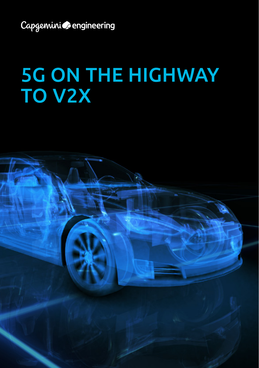Capgeminico engineering

# 5G ON THE HIGHWAY TO V2X

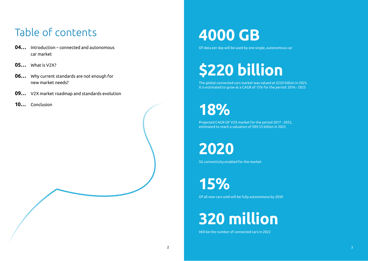## Table of contents

- **04…** Introduction connected and autonomous car market
- **05…** What is V2X?
- **06…** Why current standards are not enough for new market needs?
- **09…** V2X market roadmap and standards evolution
- **10…** Conclusion

# **4000 GB**

Of data per day will be used by one single, autonomous car

# **\$220 billion**

The global connected cars market was valued at \$220 billion in 2025. It is estimated to grow at a CAGR of 15% for the period: 2016 - 2025

# **18%**

Projected CAGR OF V2X market for the period 2017 - 2025, estimated to reach a valuation of \$99.55 billion in 2025

**2020**

5G connectivity enabled for the market

**15%**

Of all new cars sold will be fully autonomous by 2030

# **320 million**

Will be the number of connected cars in 2022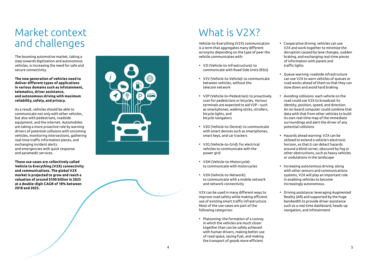## Market context and challenges

The booming automotive market, taking a step towards digitization and autonomous vehicles, is increasing the need for safe and secure connectivity.

**The new generation of vehicles need to deliver different types of applications in various domains such as infotainment, telematics, driver assistance, and autonomous driving with maximum reliability, safety, and privacy.** 

As a result, vehicles should be able to communicate not only with other vehicles, but also with pedestrians, roadside equipment, and the internet. Automobiles are taking a more proactive role by warning drivers of potential collisions with oncoming vehicles, monitoring intersections, gathering real-time traffic information pieces, and exchanging incident alerts and emergencies with quick response and paramedic services.

**These use cases are collectively called Vehicle to Everything (V2X) connectivity and communications. The global V2X market is projected to grow and reach a valuation of around \$100 billion in 2025 at a double-digit CAGR of 18% between 2018 and 2025.**



## What is V<sub>2</sub>X?

Vehicle-to-Everything (V2X) communication is a term that aggregates many different acronyms depending on the type of peer the vehicle communicates with:

- V2I (Vehicle-to-Infrastructure): to communicate with Road Side Units (RSU)
- V2V (Vehicle-to-Vehicle): to communicate between vehicles, without the telecom network
- V2P (Vehicle-to-Pedestrian): to proactively scan for pedestrians or bicycles. Various terminals are expected to aid V2P – such as smartphones, walking sticks, strollers, bicycle lights, and bicycle navigators
- V2D (Vehicle-to-Device): to communicate with smart devices such as smartphones. smart keys, and car trackers
- V2G (Vehicle-to-Grid): for electrical vehicles to communicate with the power grid
- V2M (Vehicle-to-Motorcycle): to communicate with motorcycles
- V2N (Vehicle-to-Network): to communicate with a mobile network and network connectivity

V2X can be used in many different ways to improve road safety while making efficient use of existing smart traffic infrastructure. Most of the use cases are part of the following categories:

• Platooning: the formation of a convoy in which the vehicles are much closer together than can be safely achieved with human drivers, making better use of road space, saving fuel, and making the transport of goods more efficient

- Cooperative driving: vehicles can use V2X and work together to minimize the disruption caused by lane changes, sudden braking, and exchanging real-time pieces of information with panels and traffic lights
- Queue warning: roadside infrastructure can use V2X to warn vehicles of queues or road works ahead of them so that they can slow down and avoid hard braking
- Avoiding collisions: each vehicle on the road could use V2X to broadcast its identity, position, speed, and direction. An on-board computer could combine that data with that from other vehicles to build its own real-time map of the immediate surroundings and alert the driver of any potential collisions
- Hazards ahead warning: V2X can be utilized to extend a vehicle's electronic horizon, so that it can detect hazards around a blind corner, obscured by fog or other obstructions, such as heavy vehicles or undulations in the landscape
- Increasing autonomous driving: along with other sensors and communications systems, V2X will play an important role in enabling vehicles to become increasingly autonomous.
- Driving assistance: leveraging Augmented Reality (AR) and supported by the huge bandwidth to provide driver assistance such as a real-time dashboard, heads-up navigation, and infotainment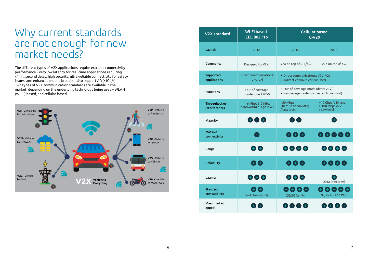### Why current standards are not enough for new market needs?

The different types of V2X applications require extreme connectivity performance – very low latency for real-time applications requiring <1millisecond delay, high security, ultra-reliable connectivity for safety issues, and enhanced mobile broadband to support AR (>1Gb/s). Two types of V2X communication standards are available in the market, depending on the underlying technology being used – WLAN (Wi-Fi) based, and cellular-based.



| <b>V2X standard</b>                   | Wi-Fi based<br><b>IEEE 802.11p</b>                           | <b>Cellular based</b><br>$C-V2X$                                                 |                                                   |
|---------------------------------------|--------------------------------------------------------------|----------------------------------------------------------------------------------|---------------------------------------------------|
| Launch                                | 2012                                                         | 2016                                                                             | 2018                                              |
| Comments                              | Designed for V2X                                             | V2X on top of LTE/4G                                                             | V2X on top of 5G                                  |
| Supported<br>applications             | Direct communications:<br>V <sub>2V</sub> , V <sub>2</sub> l | · Direct communications: V2V, V2l<br>· Indirect communications: V2N              |                                                   |
| <b>Functions</b>                      | Out-of-coverage<br>mode (direct V2V)                         | · Out-of-coverage mode (direct V2V)<br>· In-coverage mode (connected to network) |                                                   |
| Throughput or<br><b>interferences</b> | $\sim$ 6 Mbps (10 MHz<br>bandwidth) / High level             | $~50$ Mbps<br>(10 MHz bandwidth)<br>/Low level                                   | ~10 Gbps V2N and<br>> 100 Mbps V2V<br>/ Low level |
| Maturity                              | $\bigoplus$ $\bigoplus$ $\bigoplus$                          | $+$ $+$                                                                          |                                                   |
| <b>Massive</b><br>connectivity        | 0                                                            | $\boldsymbol{\Theta} \boldsymbol{\Theta} \boldsymbol{\Theta}$                    | 00000                                             |
| Range                                 | $\bigoplus$                                                  | $\bigoplus$ $\bigoplus$ $\bigoplus$                                              | $\bigoplus$ $\bigoplus$ $\bigoplus$               |
| <b>Reliability</b>                    | $\mathbf{\Theta}$                                            | $\bm{\Theta} \bm{\Theta} \bm{\Theta}$                                            | $\mathbf{\Theta} \mathbf{\Theta} \mathbf{\Theta}$ |
| Latency                               | $\bigoplus$ $\bigoplus$ $\bigoplus$                          | $\bigoplus$ $\bigoplus$ $\bigoplus$                                              | Ultra-low(<1ms)                                   |
| Standard<br>compatibility             | Wi-Fi family only                                            | $\bm{\Theta} \bm{\Theta} \bm{\Theta} \bm{\Theta}$<br>2G/3G family                | 88888<br>2G, 3G, 4G, and Wi-Fi                    |
| Mass market<br>appeal                 |                                                              |                                                                                  |                                                   |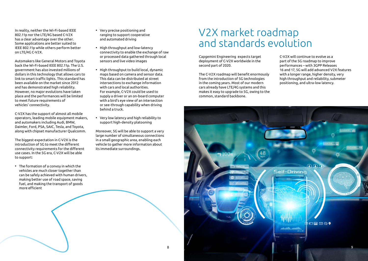In reality, neither the Wi-Fi-based IEEE 802.11p nor the LTE/4G based C-V2X has a clear advantage over the other. Some applications are better suited to IEEE 802.11p while others perform better on LTE/4G C-V2X.

Automakers like General Motors and Toyota back the Wi-Fi-based IEEE 802.11p. The U.S. government has also invested millions of dollars in this technology that allows cars to link to smart traffic lights. This standard has been available on the market since 2012 and has demonstrated high reliability. However, no major evolutions have taken place and the performances will be limited to meet future requirements of vehicles' connectivity.

C-V2X has the support of almost all mobile operators, leading mobile equipment makers, and automakers including Audi, BMW, Daimler, Ford, PSA, SAIC, Tesla, and Toyota, along with chipset manufacturer Qualcomm.

The biggest expectation in C-V2X is the introduction of 5G to meet the different connectivity requirements for the different use cases. In the 5G era, C-V2X will be able to support:

• The formation of a convoy in which the vehicles are much closer together than can be safely achieved with human drivers, making better use of road space, saving fuel, and making the transport of goods more efficient

- Very precise positioning and ranging to support cooperative and automated driving
- High throughput and low-latency connectivity to enable the exchange of raw or processed data gathered through local sensors and live video images
- High throughput to build local, dynamic maps based on camera and sensor data. This data can be distributed at street intersections to exchange information with cars and local authorities. For example, C-V2X could be used to supply a driver or an on-board computer with a bird's eye view of an intersection or see-through capability when driving behind a truck.
- Very low latency and high reliability to support high-density platooning

Moreover, 5G will be able to support a very large number of simultaneous connections in a small geographic area, enabling each vehicle to gather more information about its immediate surroundings.

## V2X market roadmap and standards evolution

Capgemini Engineering expects target deployment of C-V2X worldwide in the second part of 2020.

The C-V2X roadmap will benefit enormously from the introduction of 5G technologies in the coming years. Most of our modern cars already have LTE/4G systems and this makes it easy to upgrade to 5G, owing to the common, standard backbone.

C-V2X will continue to evolve as a part of the 5G roadmap to improve performances – with 3GPP Releases 16 and 17, 5G will add advanced V2X features with a longer range, higher density, very high throughput and reliability, submeter positioning, and ultra-low latency.